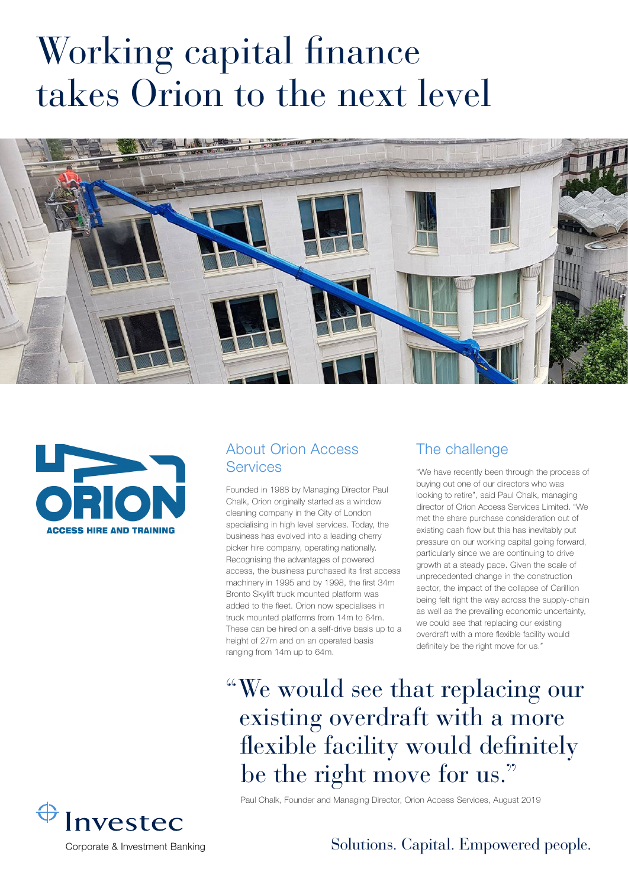# Working capital finance takes Orion to the next level





#### About Orion Access **Services**

Founded in 1988 by Managing Director Paul Chalk, Orion originally started as a window cleaning company in the City of London specialising in high level services. Today, the business has evolved into a leading cherry picker hire company, operating nationally. Recognising the advantages of powered access, the business purchased its first access machinery in 1995 and by 1998, the first 34m Bronto Skylift truck mounted platform was added to the fleet. Orion now specialises in truck mounted platforms from 14m to 64m. These can be hired on a self-drive basis up to a height of 27m and on an operated basis ranging from 14m up to 64m.

# The challenge

"We have recently been through the process of buying out one of our directors who was looking to retire", said Paul Chalk, managing director of Orion Access Services Limited. "We met the share purchase consideration out of existing cash flow but this has inevitably put pressure on our working capital going forward, particularly since we are continuing to drive growth at a steady pace. Given the scale of unprecedented change in the construction sector, the impact of the collapse of Carillion being felt right the way across the supply-chain as well as the prevailing economic uncertainty, we could see that replacing our existing overdraft with a more flexible facility would definitely be the right move for us."

"We would see that replacing our existing overdraft with a more flexible facility would definitely be the right move for us."

 $\bigoplus$ Investec Corporate & Investment Banking Paul Chalk, Founder and Managing Director, Orion Access Services, August 2019

### Solutions. Capital. Empowered people.